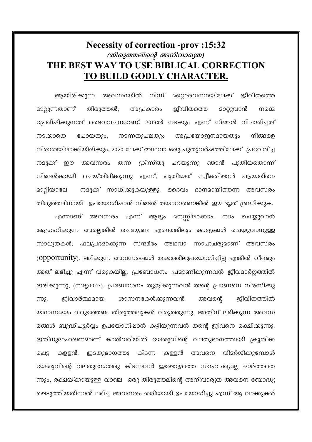## **Necessity of correction -prov:15:32** (തിരുത്തലിന്റെ അനിവാര്യത) THE BEST WAY TO USE BIBLICAL CORRECTION TO BUILD GODLY CHARACTER.

അവസ്ഥയിൽ നിന്ന് <u> മറൊരവസ്ഥയിലേക്ക്</u> അയിരിക്കുന്ന ജീവിതത്തെ മാറ്റുന്നതാണ് തിരുത്തൽ, <u> ജീവിതത്തെ</u> അപ്രകാരം <u>മാറ്റുവാൻ</u> നമെ പ്രേരിഷിക്കുന്നത് ദൈവവചനമാണ്. 2019ൽ നടക്കും എന്ന് നിങ്ങൾ വിചാരിച്ചത് നടക്കാതെ പോയതും, നടന്നതുപലതും അപ്രയോജനമായതും നിങ്ങളെ നിരാശയിലാക്കിയിരിക്കും. 2020 ലേക്ക് അഥവാ ഒരു പുതുവർഷത്തിലേക്ക് പ്രവേശിച്ച നമുക്ക് ഈ അവസരം തന്ന ക്രിസ്തു പറയുന്നു ഞാൻ പുതിയതൊന്ന് നിങ്ങൾക്കായി ചെയ്തിരിക്കുന്നു എന്ന്, പുതിയത് സ്വീകരിഷാൻ പഴയതിനെ നമുക്ക് സാധിക്കുകയുള്ളു. ദൈവം ദാനമായിത്തന്ന അവസരം മാറ്റിയാലേ തിരുത്തലിനായി ഉപയോഗിപ്പാൻ നിങ്ങൾ തയാറാണെങ്കിൽ ഈ ദൂത് ശ്രദ്ധിക്കുക. <u>എന്താണ് അവസരം എന്ന് ആദ്യം</u> ദനസ്സിലാക്കാം. നാം ചെയ്യുവാൻ ആഗ്രഹിക്കുന്ന അല്ലെങ്കിൽ ചെയ്യേണ്ട എന്തെങ്കിലും കാര്യങ്ങൾ ചെയ്യുവാനുള്ള സാധ്യതകൾ, ഫലപ്രദമാക്കുന്ന സന്ദർഭം അഥവാ സാഹചര്യമാണ് അവസരം (opportunity). ലഭിക്കുന്ന അവസരങ്ങൾ തക്കത്തിലുപയോഗിച്ചില്ല എങ്കിൽ വീണ്ടും അത് ലഭിച്ചു എന്ന് വരുകയില്ല. പ്രബോധനം പ്രമാണിക്കുന്നവൻ ജീവമാർഗ്ഗത്തിൽ ഇരിക്കുന്നു, (സദൃ:10:17). പ്രബോധനം ത്യജിക്കുന്നവൻ തന്റെ പ്രാണനെ നിരസിക്കു ജീവാർത്ഥമായ ശാസനകേൾക്കുന്നവൻ ജീവിതത്തിൽ cm2. അവന്റെ യഥാസമയം വരുത്തേണ്ട തിരുത്തലുകൾ വരുത്തുന്നു. അതിന് ലഭിക്കുന്ന അവസ രങ്ങൾ ബുദ്ധിപൂർവ്വം ഉപയോഗിഷാൻ കഴിയുന്നവൻ തന്റെ ജീവനെ രക്ഷിക്കുന്നു. ഇതിനുദാഹരണമാണ് കാൽവറിയിൽ യേശുവിന്റെ വലതുഭാഗത്തായി ക്രൂശിക്ക കളളൻ. ഇടതുഭാഗത്തു കിടന്ന കള്ളൻ അവനെ വിമർശിക്കുമ്പോൾ ക്ഷെട്ട യേശുവിന്റെ വലതുഭാഗത്തു കിടന്നവൻ ഇപ്പോഴത്തെ സാഹചര്യമല്ല ഓർത്തതെ ന്നും, രക്ഷയ്ക്കായുള്ള വാഞ്ച ഒരു തിരുത്തലിന്റെ അനിവാര്യത അവനെ ബോദ്ധ്യ പ്പെടുത്തിയതിനാൽ ലഭിച്ച അവസരം ശരിയായി ഉപയോഗിച്ചു എന്ന് ആ വാക്കുകൾ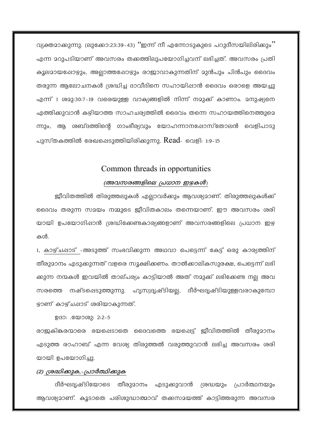വ്യക്തമാക്കുന്നു. (ലുക്കോ:23:39-43) ''ഇന്ന് നീ എന്നോടുകുടെ പറുദീസയിലിരിക്കും'' എന്ന മറുപടിയാണ് അവസരം തക്കത്തിലുപയോഗിച്ചവന് ലഭിച്ചത്. അവസരം പ്രതി കൂലമായഷോഴും, അല്ലാത്തഷോഴും രാജാവാകുന്നതിന് മുൻപും പിൻപും ദൈവം തരുന്ന ആലോചനകൾ ശ്രദ്ധിച്ച ദാവീദിനെ സഹായിപ്പാൻ ദൈവം ഒരാളെ അയച്ചു എന്ന് 1 ശമു:30:7-19 വരെയുള്ള വാക്യങ്ങളിൽ നിന്ന് നമുക്ക് കാണാം. മനുഷ്യനെ എത്തിക്കുവാൻ കഴിയാത്ത സാഹചര്യത്തിൽ ദൈവം തന്നെ സഹായത്തിനെത്തുമെ ന്നും, ആ ശബ്ദത്തിന്റെ ഗാംഭീര്യവും യോഹന്നാനഷോസ്തോലൻ വെളിപാടു പുസ്തകത്തിൽ രേഖപ്പെടുത്തിയിരിക്കുന്നു.  $\mathrm{Read}\_\mathrm{0.19-15}$ 

### Common threads in opportunities

#### (അവസരങ്ങളിലെ പ്രധാന ഇഴകൾ)

ജീവിതത്തിൽ തിരുത്തലുകൾ എല്ലാവർക്കും ആവശ്യമാണ്. തിരുത്തലുകൾക്ക് ദൈവം തരുന്ന സമയം നമ്മുടെ ജീവിതകാലം തന്നെയാണ്. ഈ അവസരം ശരി യായി ഉപയോഗിഷാൻ ശ്രദ്ധിക്കേണ്ടകാര്യങ്ങളാണ് അവസരങ്ങളിലെ പ്രധാന ഇഴ കൾ.

1, കാഴ്ച്ഷാട് -അടുത്ത് സംഭവിക്കുന്ന അഥവാ പെട്ടെന്ന് കേട്ട് ഒരു കാര്യത്തിന് തീരുമാനം എടുക്കുന്നത് വളരെ സൂക്ഷിക്കണം. താൽക്കാലികസുരക്ഷ, പെട്ടെന്ന് ലഭി ക്കുന്ന നന്മകൾ ഇവയിൽ താല്പര്യം കാട്ടിയാൽ അത് നമുക്ക് ലഭിക്കേണ്ട നല്ല അവ സരത്തെ നഷ്ടപ്പെടുത്തുന്നു. ഹൃസ്വദൃഷ്ടിയല്ല, ദീർഘദൃഷ്ടിയുള്ളവരാകുമ്പോ ഴാണ് കാഴ്ച്ഷാട് ശരിയാകുന്നത്.

ഉദാ: .യോശു: 2:2-5

രാജകികരന്മാരെ ഭയപ്പെടാതെ ദൈവത്തെ ഭയപ്പെട്ട് ജീവിതത്തിൽ തീരുമാനം എടുത്ത രാഹാബ് എന്ന വേശ്യ തിരുത്തൽ വരുത്തുവാൻ ലഭിച്ച അവസരം ശരി യായി ഉപയോഗിച്ചു.

#### (2) ശ്രദ്ധിക്കുക,-പ്രാർത്ഥിക്കുക

ദീർഘദ്യഷ്ടിയോടെ തീരുമാനം എടുക്കുവാൻ ശ്രദ്ധയും പ്രാർത്ഥനയും ആവശ്യമാണ്. കൂടാതെ പരിശുദ്ധാത്മാവ് തക്കസമയത്ത് കാട്ടിത്തരുന്ന അവസര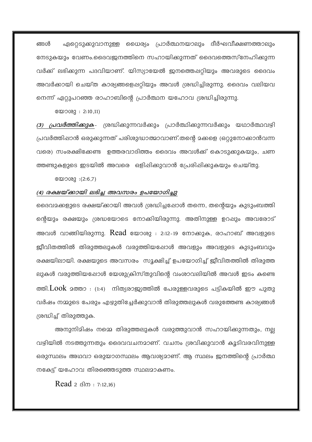ഏറ്റെടുക്കുവാനുള്ള ധൈര്യം പ്രാർത്ഥനയാലും ദീർഘവീക്ഷണത്താലും ങ്ങൾ നേടുകയും വേണം.ദൈവജനത്തിനെ സഹായിക്കുന്നത് ദൈവത്തെസ്നേഹിക്കുന്ന വർക്ക് ലഭിക്കുന്ന പദവിയാണ്. യിസ്യായേൽ ജനത്തെപ്പറ്റിയും അവരുടെ ദൈവം അവർക്കായി ചെയ്ത കാര്യങ്ങളെപ്പറ്റിയും അവൾ ശ്രദ്ധിച്ചിരുന്നു. ദൈവം വലിയവ നെന്ന് ഏറ്റുപറഞ്ഞ രാഹാബിന്റെ പ്രാർത്ഥന യഹോവ ശ്രദ്ധിച്ചിരുന്നു.

യോശു : 2:10,11)

(3) *പ്രവർത്തിക്കുക*- ശ്രദ്ധിക്കുന്നവർക്കും പ്രാർത്ഥിക്കുന്നവർക്കും യഥാർത്ഥവഴി പ്രവർത്തിഷാൻ ഒരുക്കുന്നത് പരിശുദ്ധാത്മാവാണ്.തന്റെ മക്കളെ (ഒറ്റുനോക്കാൻവന്ന വരെ) സംരക്ഷിക്കേണ്ട ഉത്തരവാദിത്തം ദൈവം അവൾക്ക് കൊടുക്കുകയും, ചണ ത്തണ്ടുകളുടെ ഇടയിൽ അവരെ ഒളിഷിക്കുവാൻ പ്രേരിഷിക്കുകയും ചെയ്തു.

യോശു : (2:6,7)

#### (4) രക്ഷയ്ക്കായി ലഭിച്ച അവസരം ഉപയോഗിച്ചു

ദൈവമക്കളുടെ രക്ഷയ്ക്കായി അവൾ ശ്രദ്ധിച്ചപ്പോൾ തന്നെ, തന്റെയും കുടുംബത്തി ന്റെയും രക്ഷയും ശ്രദ്ധയോടെ നോക്കിയിരുന്നു. അതിനുള്ള ഉറപ്പും അവരോട് അവൾ വാങ്ങിയിരുന്നു. Read യോശു : 2:12-19 നോക്കുക, രാഹാബ് അവളുടെ ജീവിതത്തിൽ തിരുത്തലുകൾ വരുത്തിയപ്പോൾ അവളും അവളുടെ കുടുംബവും രക്ഷയിലായി. രക്ഷയുടെ അവസരം സൂക്ഷിച്ച് ഉപയോഗിച്ച് ജീവിതത്തിൽ തിരുത്ത ലുകൾ വരുത്തിയപ്പോൾ യേശുക്രിസ്തുവിന്റെ വംശാവലിയിൽ അവൾ ഇടം കണ്ടെ ത്തി. $Look$  മത്താ : (1:4) നിത്യരാജ്യത്തിൽ പേരുള്ളവരുടെ പട്ടികയിൽ ഈ പുതു വർഷം നമ്മുടെ പേരും എഴുതിച്ചേർക്കുവാൻ തിരുത്തലുകൾ വരുത്തേണ്ട കാര്യങ്ങൾ ശ്രദ്ധിച്ച് തിരുത്തുക.

അനുനിമിഷം നമ്മെ തിരുത്തലുകൾ വരുത്തുവാൻ സഹായിക്കുന്നതും, നല്ല വഴിയിൽ നടത്തുന്നതും ദൈവവചനമാണ്. വചനം ശ്രവിക്കുവാൻ കൂടിവരവിനുള്ള ഒരുസ്ഥലം അഥവാ ഒരുയാഗസ്ഥലം ആവശ്യമാണ്. ആ സ്ഥലം ജനത്തിന്റെ പ്രാർത്ഥ നകേട്ട് യഹോവ തിരഞ്ഞെടുത്ത സ്ഥലമാകണം.

Read  $2$   $60$   $: 7:12.16$